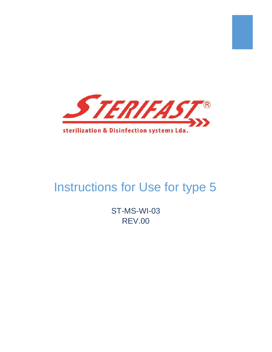

# Instructions for Use for type 5

ST-MS-WI-03 REV.00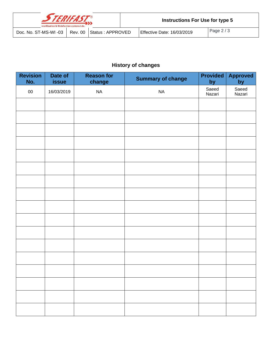| STERIFAST<br>sterilization & Disinfection systems Lda. |                      |  |                          |  | <b>Instructions For Use for type 5</b> |            |  |  |
|--------------------------------------------------------|----------------------|--|--------------------------|--|----------------------------------------|------------|--|--|
|                                                        | Doc. No. ST-MS-WI-03 |  | Rev. 00 Status: APPROVED |  | Effective Date: 16/03/2019             | Page $2/3$ |  |  |

# **History of changes**

| <b>Revision</b><br>No. | Date of<br><b>issue</b> | <b>Reason for</b><br>change | <b>Summary of change</b> | <b>Provided</b><br>by | <b>Approved</b><br>by |
|------------------------|-------------------------|-----------------------------|--------------------------|-----------------------|-----------------------|
| ${\bf 00}$             | 16/03/2019              | $\sf NA$                    | $\sf NA$                 | Saeed<br>Nazari       | Saeed<br>Nazari       |
|                        |                         |                             |                          |                       |                       |
|                        |                         |                             |                          |                       |                       |
|                        |                         |                             |                          |                       |                       |
|                        |                         |                             |                          |                       |                       |
|                        |                         |                             |                          |                       |                       |
|                        |                         |                             |                          |                       |                       |
|                        |                         |                             |                          |                       |                       |
|                        |                         |                             |                          |                       |                       |
|                        |                         |                             |                          |                       |                       |
|                        |                         |                             |                          |                       |                       |
|                        |                         |                             |                          |                       |                       |
|                        |                         |                             |                          |                       |                       |
|                        |                         |                             |                          |                       |                       |
|                        |                         |                             |                          |                       |                       |
|                        |                         |                             |                          |                       |                       |
|                        |                         |                             |                          |                       |                       |
|                        |                         |                             |                          |                       |                       |